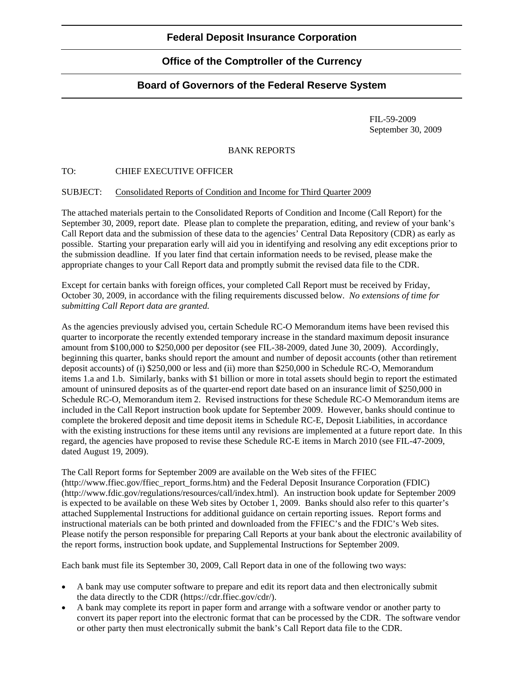# **Office of the Comptroller of the Currency**

## **Board of Governors of the Federal Reserve System**

 FIL-59-2009 September 30, 2009

### BANK REPORTS

## TO: CHIEF EXECUTIVE OFFICER

### SUBJECT: Consolidated Reports of Condition and Income for Third Quarter 2009

The attached materials pertain to the Consolidated Reports of Condition and Income (Call Report) for the September 30, 2009, report date. Please plan to complete the preparation, editing, and review of your bank's Call Report data and the submission of these data to the agencies' Central Data Repository (CDR) as early as possible. Starting your preparation early will aid you in identifying and resolving any edit exceptions prior to the submission deadline. If you later find that certain information needs to be revised, please make the appropriate changes to your Call Report data and promptly submit the revised data file to the CDR.

Except for certain banks with foreign offices, your completed Call Report must be received by Friday, October 30, 2009, in accordance with the filing requirements discussed below. *No extensions of time for submitting Call Report data are granted.* 

As the agencies previously advised you, certain Schedule RC-O Memorandum items have been revised this quarter to incorporate the recently extended temporary increase in the standard maximum deposit insurance amount from \$100,000 to \$250,000 per depositor (see FIL-38-2009, dated June 30, 2009). Accordingly, beginning this quarter, banks should report the amount and number of deposit accounts (other than retirement deposit accounts) of (i) \$250,000 or less and (ii) more than \$250,000 in Schedule RC-O, Memorandum items 1.a and 1.b. Similarly, banks with \$1 billion or more in total assets should begin to report the estimated amount of uninsured deposits as of the quarter-end report date based on an insurance limit of \$250,000 in Schedule RC-O, Memorandum item 2. Revised instructions for these Schedule RC-O Memorandum items are included in the Call Report instruction book update for September 2009. However, banks should continue to complete the brokered deposit and time deposit items in Schedule RC-E, Deposit Liabilities, in accordance with the existing instructions for these items until any revisions are implemented at a future report date. In this regard, the agencies have proposed to revise these Schedule RC-E items in March 2010 (see FIL-47-2009, dated August 19, 2009).

The Call Report forms for September 2009 are available on the Web sites of the FFIEC (http://www.ffiec.gov/ffiec\_report\_forms.htm) and the Federal Deposit Insurance Corporation (FDIC) (http://www.fdic.gov/regulations/resources/call/index.html). An instruction book update for September 2009 is expected to be available on these Web sites by October 1, 2009. Banks should also refer to this quarter's attached Supplemental Instructions for additional guidance on certain reporting issues. Report forms and instructional materials can be both printed and downloaded from the FFIEC's and the FDIC's Web sites. Please notify the person responsible for preparing Call Reports at your bank about the electronic availability of the report forms, instruction book update, and Supplemental Instructions for September 2009.

Each bank must file its September 30, 2009, Call Report data in one of the following two ways:

- A bank may use computer software to prepare and edit its report data and then electronically submit the data directly to the CDR (https://cdr.ffiec.gov/cdr/).
- A bank may complete its report in paper form and arrange with a software vendor or another party to convert its paper report into the electronic format that can be processed by the CDR. The software vendor or other party then must electronically submit the bank's Call Report data file to the CDR.